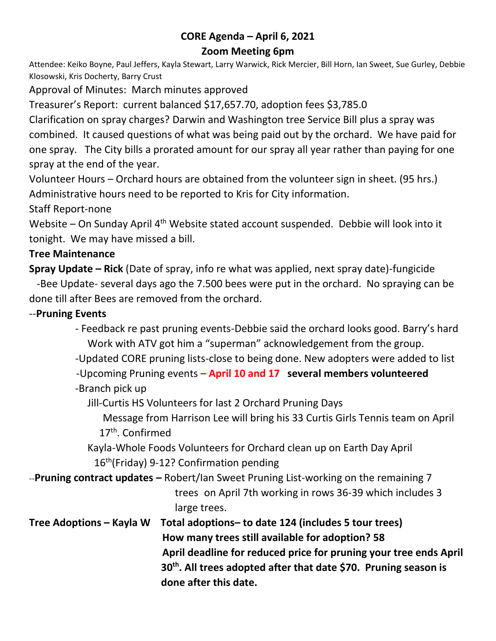# **CORE Agenda – April 6, 2021**

### **Zoom Meeting 6pm**

Attendee: Keiko Boyne, Paul Jeffers, Kayla Stewart, Larry Warwick, Rick Mercier, Bill Horn, Ian Sweet, Sue Gurley, Debbie Klosowski, Kris Docherty, Barry Crust

Approval of Minutes: March minutes approved

Treasurer's Report: current balanced \$17,657.70, adoption fees \$3,785.0

Clarification on spray charges? Darwin and Washington tree Service Bill plus a spray was combined. It caused questions of what was being paid out by the orchard. We have paid for one spray. The City bills a prorated amount for our spray all year rather than paying for one spray at the end of the year.

Volunteer Hours – Orchard hours are obtained from the volunteer sign in sheet. (95 hrs.) Administrative hours need to be reported to Kris for City information.

Staff Report-none

Website – On Sunday April 4<sup>th</sup> Website stated account suspended. Debbie will look into it tonight. We may have missed a bill.

#### **Tree Maintenance**

**Spray Update – Rick** (Date of spray, info re what was applied, next spray date)-fungicide

 -Bee Update- several days ago the 7.500 bees were put in the orchard. No spraying can be done till after Bees are removed from the orchard.

#### --**Pruning Events**

 - Feedback re past pruning events-Debbie said the orchard looks good. Barry's hard Work with ATV got him a "superman" acknowledgement from the group.

-Updated CORE pruning lists-close to being done. New adopters were added to list

-Upcoming Pruning events **– April 10 and 17 several members volunteered**

-Branch pick up

Jill-Curtis HS Volunteers for last 2 Orchard Pruning Days

 Message from Harrison Lee will bring his 33 Curtis Girls Tennis team on April 17<sup>th</sup>. Confirmed

Kayla-Whole Foods Volunteers for Orchard clean up on Earth Day April 16<sup>th</sup>(Friday) 9-12? Confirmation pending

--**Pruning contract updates –** Robert/Ian Sweet Pruning List-working on the remaining 7

trees on April 7th working in rows 36-39 which includes 3 large trees.

**Tree Adoptions – Kayla W Total adoptions– to date 124 (includes 5 tour trees) How many trees still available for adoption? 58 April deadline for reduced price for pruning your tree ends April 30th. All trees adopted after that date \$70. Pruning season is done after this date.**